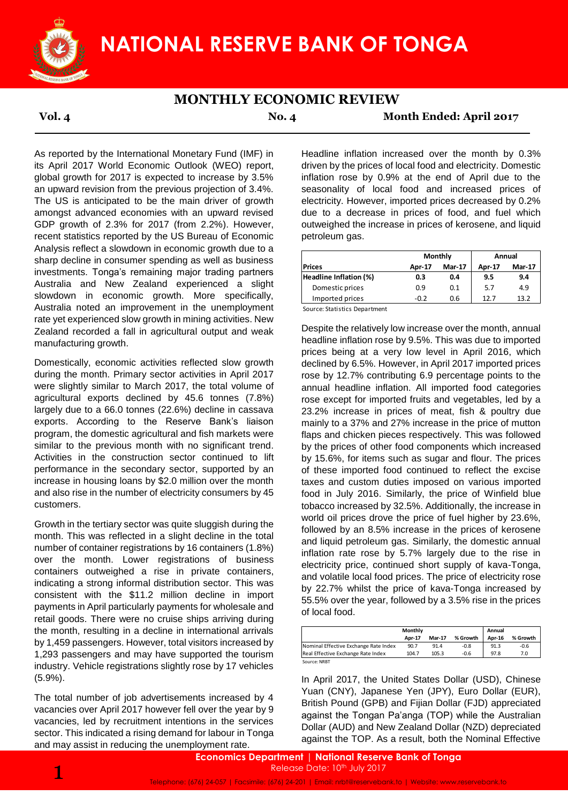

## **MONTHLY ECONOMIC REVIEW**

**Vol. 4 No. 4 Month Ended: April 2017**

As reported by the International Monetary Fund (IMF) in its April 2017 World Economic Outlook (WEO) report, global growth for 2017 is expected to increase by 3.5% an upward revision from the previous projection of 3.4%. The US is anticipated to be the main driver of growth amongst advanced economies with an upward revised GDP growth of 2.3% for 2017 (from 2.2%). However, recent statistics reported by the US Bureau of Economic Analysis reflect a slowdown in economic growth due to a sharp decline in consumer spending as well as business investments. Tonga's remaining major trading partners Australia and New Zealand experienced a slight slowdown in economic growth. More specifically, Australia noted an improvement in the unemployment rate yet experienced slow growth in mining activities. New Zealand recorded a fall in agricultural output and weak manufacturing growth.

Domestically, economic activities reflected slow growth during the month. Primary sector activities in April 2017 were slightly similar to March 2017, the total volume of agricultural exports declined by 45.6 tonnes (7.8%) largely due to a 66.0 tonnes (22.6%) decline in cassava exports. According to the Reserve Bank's liaison program, the domestic agricultural and fish markets were similar to the previous month with no significant trend. Activities in the construction sector continued to lift performance in the secondary sector, supported by an increase in housing loans by \$2.0 million over the month and also rise in the number of electricity consumers by 45 customers.

Growth in the tertiary sector was quite sluggish during the month. This was reflected in a slight decline in the total number of container registrations by 16 containers (1.8%) over the month. Lower registrations of business containers outweighed a rise in private containers, indicating a strong informal distribution sector. This was consistent with the \$11.2 million decline in import payments in April particularly payments for wholesale and retail goods. There were no cruise ships arriving during the month, resulting in a decline in international arrivals by 1,459 passengers. However, total visitors increased by 1,293 passengers and may have supported the tourism industry. Vehicle registrations slightly rose by 17 vehicles (5.9%).

The total number of job advertisements increased by 4 vacancies over April 2017 however fell over the year by 9 vacancies, led by recruitment intentions in the services sector. This indicated a rising demand for labour in Tonga and may assist in reducing the unemployment rate.

Headline inflation increased over the month by 0.3% driven by the prices of local food and electricity. Domestic inflation rose by 0.9% at the end of April due to the seasonality of local food and increased prices of electricity. However, imported prices decreased by 0.2% due to a decrease in prices of food, and fuel which outweighed the increase in prices of kerosene, and liquid petroleum gas.

|                        |        | Monthly       | Annual |               |  |
|------------------------|--------|---------------|--------|---------------|--|
| <b>Prices</b>          | Apr-17 | <b>Mar-17</b> | Apr-17 | <b>Mar-17</b> |  |
| Headline Inflation (%) | 0.3    | 0.4           | 9.5    | 9.4           |  |
| Domestic prices        | 0.9    | 0.1           | 5.7    | 4.9           |  |
| Imported prices        | -0.2   | 0.6           | 12.7   | 13.2          |  |

Source: Statistics Department

Despite the relatively low increase over the month, annual headline inflation rose by 9.5%. This was due to imported prices being at a very low level in April 2016, which declined by 6.5%. However, in April 2017 imported prices rose by 12.7% contributing 6.9 percentage points to the annual headline inflation. All imported food categories rose except for imported fruits and vegetables, led by a 23.2% increase in prices of meat, fish & poultry due mainly to a 37% and 27% increase in the price of mutton flaps and chicken pieces respectively. This was followed by the prices of other food components which increased by 15.6%, for items such as sugar and flour. The prices of these imported food continued to reflect the excise taxes and custom duties imposed on various imported food in July 2016. Similarly, the price of Winfield blue tobacco increased by 32.5%. Additionally, the increase in world oil prices drove the price of fuel higher by 23.6%, followed by an 8.5% increase in the prices of kerosene and liquid petroleum gas. Similarly, the domestic annual inflation rate rose by 5.7% largely due to the rise in electricity price, continued short supply of kava-Tonga, and volatile local food prices. The price of electricity rose by 22.7% whilst the price of kava-Tonga increased by 55.5% over the year, followed by a 3.5% rise in the prices of local food.

|                                       | Monthly |               |          | Annual |          |
|---------------------------------------|---------|---------------|----------|--------|----------|
|                                       | Apr-17  | <b>Mar-17</b> | % Growth | Apr-16 | % Growth |
| Nominal Effective Exchange Rate Index | 90.7    | 91.4          | $-0.8$   | 91.3   | $-0.6$   |
| Real Effective Exchange Rate Index    | 104.7   | 105.3         | $-0.6$   | 97.8   | 7.0      |
| Source: NRBT                          |         |               |          |        |          |

In April 2017, the United States Dollar (USD), Chinese Yuan (CNY), Japanese Yen (JPY), Euro Dollar (EUR), British Pound (GPB) and Fijian Dollar (FJD) appreciated against the Tongan Pa'anga (TOP) while the Australian Dollar (AUD) and New Zealand Dollar (NZD) depreciated against the TOP. As a result, both the Nominal Effective

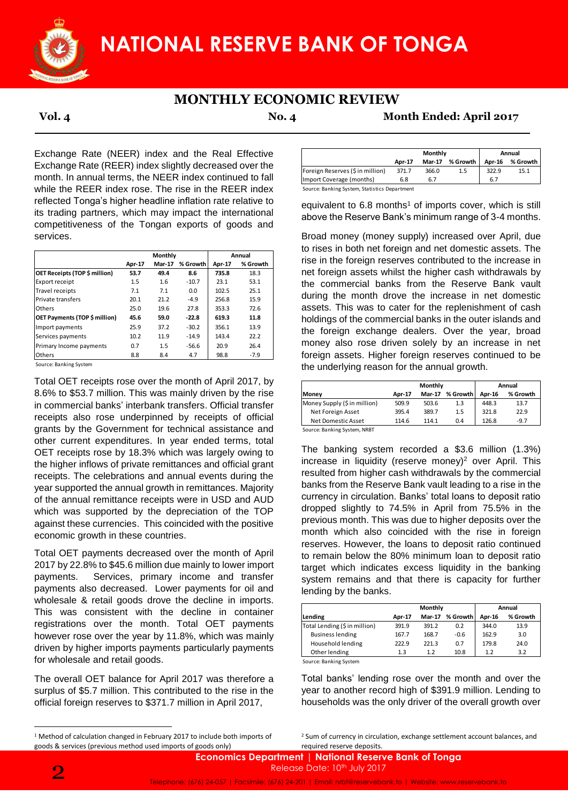

# **MONTHLY ECONOMIC REVIEW**

**Vol. 4 No. 4 Month Ended: April 2017**

Exchange Rate (NEER) index and the Real Effective Exchange Rate (REER) index slightly decreased over the month. In annual terms, the NEER index continued to fall while the REER index rose. The rise in the REER index reflected Tonga's higher headline inflation rate relative to its trading partners, which may impact the international competitiveness of the Tongan exports of goods and services.

|                               | Monthly       |               |          | Annual        |          |
|-------------------------------|---------------|---------------|----------|---------------|----------|
|                               | <b>Apr-17</b> | <b>Mar-17</b> | % Growth | <b>Apr-17</b> | % Growth |
| OET Receipts (TOP \$ million) | 53.7          | 49.4          | 8.6      | 735.8         | 18.3     |
| Export receipt                | 1.5           | 1.6           | $-10.7$  | 23.1          | 53.1     |
| Travel receipts               | 7.1           | 7.1           | 0.0      | 102.5         | 25.1     |
| Private transfers             | 20.1          | 21.2          | $-4.9$   | 256.8         | 15.9     |
| Others                        | 25.0          | 19.6          | 27.8     | 353.3         | 72.6     |
| OET Payments (TOP \$ million) | 45.6          | 59.0          | $-22.8$  | 619.3         | 11.8     |
| Import payments               | 25.9          | 37.2          | $-30.2$  | 356.1         | 13.9     |
| Services payments             | 10.2          | 11.9          | $-14.9$  | 143.4         | 22.2     |
| Primary Income payments       | 0.7           | 1.5           | $-56.6$  | 20.9          | 26.4     |
| Others                        | 8.8           | 8.4           | 4.7      | 98.8          | $-7.9$   |

Source: Banking System

Total OET receipts rose over the month of April 2017, by 8.6% to \$53.7 million. This was mainly driven by the rise in commercial banks' interbank transfers. Official transfer receipts also rose underpinned by receipts of official grants by the Government for technical assistance and other current expenditures. In year ended terms, total OET receipts rose by 18.3% which was largely owing to the higher inflows of private remittances and official grant receipts. The celebrations and annual events during the year supported the annual growth in remittances. Majority of the annual remittance receipts were in USD and AUD which was supported by the depreciation of the TOP against these currencies. This coincided with the positive economic growth in these countries. **EXECUTE SECUTE APPLY SECURE APPLY ASSES** and the connected by the connected by the connected by the connected by the connected by the connected by the connected by the connected by the connected by the connected by the co

Total OET payments decreased over the month of April 2017 by 22.8% to \$45.6 million due mainly to lower import payments. Services, primary income and transfer payments also decreased. Lower payments for oil and wholesale & retail goods drove the decline in imports. This was consistent with the decline in container registrations over the month. Total OET payments however rose over the year by 11.8%, which was mainly driven by higher imports payments particularly payments for wholesale and retail goods.

The overall OET balance for April 2017 was therefore a surplus of \$5.7 million. This contributed to the rise in the official foreign reserves to \$371.7 million in April 2017,

|                                  | Monthly       |               |          | Annual |          |
|----------------------------------|---------------|---------------|----------|--------|----------|
|                                  | <b>Apr-17</b> | <b>Mar-17</b> | % Growth | Apr-16 | % Growth |
| Foreign Reserves (\$ in million) | 371.7         | 366.0         | 1.5      | 322.9  | 15.1     |
| Import Coverage (months)         | 6.8           | 6.7           |          | 6.7    |          |

Source: Banking System, Statistics Department

equivalent to  $6.8$  months<sup>1</sup> of imports cover, which is still above the Reserve Bank's minimum range of 3-4 months.

Broad money (money supply) increased over April, due to rises in both net foreign and net domestic assets. The rise in the foreign reserves contributed to the increase in net foreign assets whilst the higher cash withdrawals by the commercial banks from the Reserve Bank vault during the month drove the increase in net domestic assets. This was to cater for the replenishment of cash holdings of the commercial banks in the outer islands and the foreign exchange dealers. Over the year, broad money also rose driven solely by an increase in net foreign assets. Higher foreign reserves continued to be the underlying reason for the annual growth.

| <b>Mar-17</b> | % Growth | Apr-16 | % Growth |
|---------------|----------|--------|----------|
|               |          |        |          |
| 503.6         | 1.3      | 448.3  | 13.7     |
| 389.7         | 1.5      | 321.8  | 22.9     |
| 114.1         | 0.4      | 126.8  | $-9.7$   |
|               |          |        |          |

The banking system recorded a \$3.6 million (1.3%) increase in liquidity (reserve money)<sup>2</sup> over April. This resulted from higher cash withdrawals by the commercial banks from the Reserve Bank vault leading to a rise in the currency in circulation. Banks' total loans to deposit ratio dropped slightly to 74.5% in April from 75.5% in the previous month. This was due to higher deposits over the month which also coincided with the rise in foreign reserves. However, the loans to deposit ratio continued to remain below the 80% minimum loan to deposit ratio target which indicates excess liquidity in the banking system remains and that there is capacity for further lending by the banks.

|                               | Monthly       |               |          | Annual |          |  |
|-------------------------------|---------------|---------------|----------|--------|----------|--|
| Lending                       | <b>Apr-17</b> | <b>Mar-17</b> | % Growth | Apr-16 | % Growth |  |
| Total Lending (\$ in million) | 391.9         | 391.2         | 0.2      | 344.0  | 13.9     |  |
| <b>Business lending</b>       | 167.7         | 168.7         | $-0.6$   | 162.9  | 3.0      |  |
| Household lending             | 222.9         | 221.3         | 0.7      | 179.8  | 24.0     |  |
| Other lending                 | 1.3           | 1.2           | 10.8     | 1.2    | 3.2      |  |

Source: Banking System

Total banks' lending rose over the month and over the year to another record high of \$391.9 million. Lending to households was the only driver of the overall growth over

<sup>2</sup> Sum of currency in circulation, exchange settlement account balances, and

**.** 

<sup>&</sup>lt;sup>1</sup> Method of calculation changed in February 2017 to include both imports of goods & services (previous method used imports of goods only)